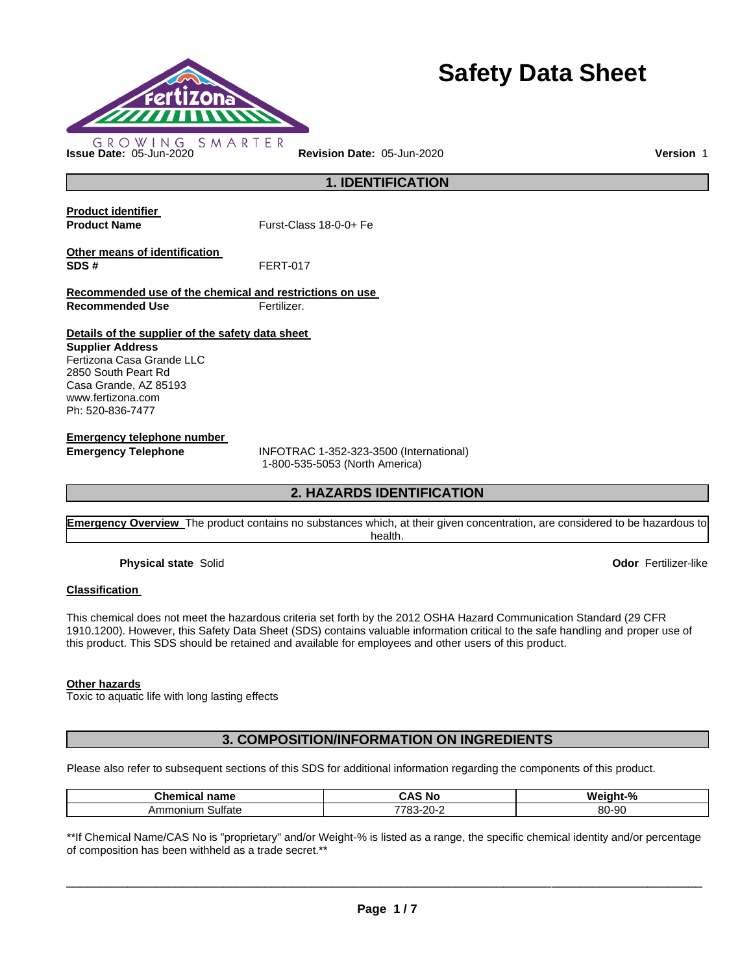

# **Safety Data Sheet**

**1. IDENTIFICATION** 

**Product identifier** 

**Product Name Furst-Class 18-0-0+ Fe** 

**Other means of identification SDS #** FERT-017

**Recommended use of the chemical and restrictions on use Recommended Use Fertilizer.** 

**Details of the supplier of the safety data sheet** 

**Supplier Address** Fertizona Casa Grande LLC 2850 South Peart Rd Casa Grande, AZ 85193 www.fertizona.com Ph: 520-836-7477

**Emergency telephone number** 

**Emergency Telephone** INFOTRAC 1-352-323-3500 (International) 1-800-535-5053 (North America)

# **2. HAZARDS IDENTIFICATION**

**Emergency Overview** The product contains no substances which, at their given concentration, are considered to be hazardous to health.

**Physical state** Solid **Odor** Fertilizer-like

## **Classification**

This chemical does not meet the hazardous criteria set forth by the 2012 OSHA Hazard Communication Standard (29 CFR 1910.1200). However, this Safety Data Sheet (SDS) contains valuable information critical to the safe handling and proper use of this product. This SDS should be retained and available for employees and other users of this product.

## **Other hazards**

Toxic to aquatic life with long lasting effects

# **3. COMPOSITION/INFORMATION ON INGREDIENTS**

Please also refer to subsequent sections of this SDS for additional information regarding the components of this product.

| -<br>$- -$<br>$ -$<br>name<br>-41 | . .<br>N0<br>. .                      | W۵<br>$\mathbf{0}$<br>- הר<br>70 |
|-----------------------------------|---------------------------------------|----------------------------------|
| ultate<br>onium<br>.              | $\cap$<br>770'<br>∼-<br>.<br>uu<br>__ | 80-90                            |

\*\*If Chemical Name/CAS No is "proprietary" and/or Weight-% is listed as a range, the specific chemical identity and/or percentage of composition has been withheld as a trade secret.\*\*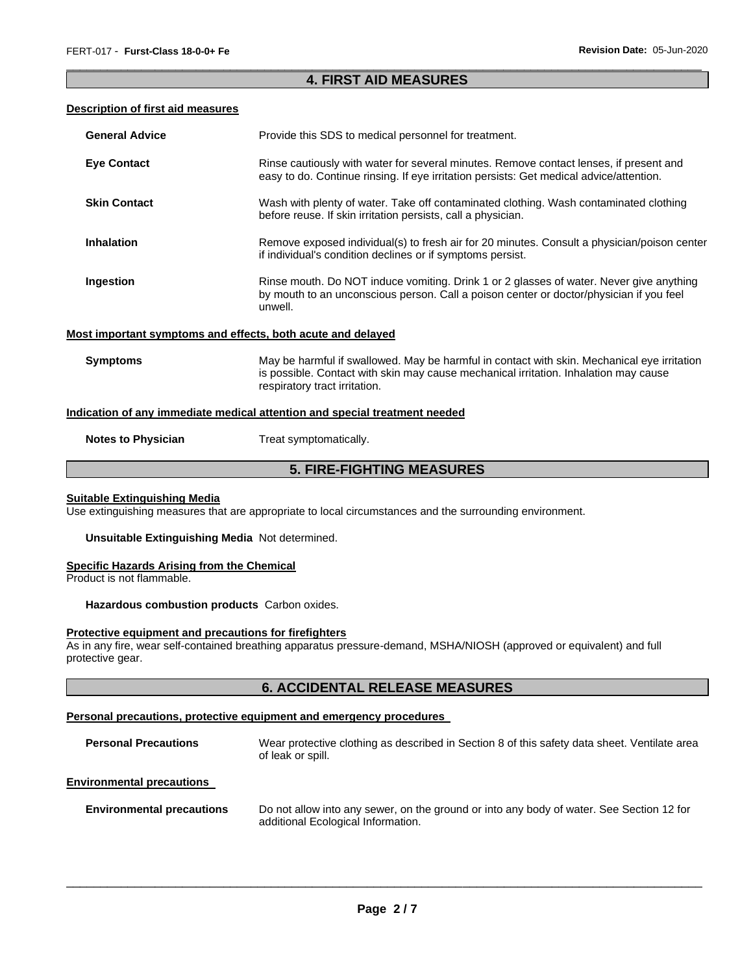## \_\_\_\_\_\_\_\_\_\_\_\_\_\_\_\_\_\_\_\_\_\_\_\_\_\_\_\_\_\_\_\_\_\_\_\_\_\_\_\_\_\_\_\_\_\_\_\_\_\_\_\_\_\_\_\_\_\_\_\_\_\_\_\_\_\_\_\_\_\_\_\_\_\_\_\_\_\_\_\_\_\_\_\_\_\_\_\_\_\_\_\_\_ **4. FIRST AID MEASURES**

## **Description of first aid measures**

| <b>General Advice</b>                                       | Provide this SDS to medical personnel for treatment.                                                                                                                                                                 |
|-------------------------------------------------------------|----------------------------------------------------------------------------------------------------------------------------------------------------------------------------------------------------------------------|
| <b>Eye Contact</b>                                          | Rinse cautiously with water for several minutes. Remove contact lenses, if present and<br>easy to do. Continue rinsing. If eye irritation persists: Get medical advice/attention.                                    |
| <b>Skin Contact</b>                                         | Wash with plenty of water. Take off contaminated clothing. Wash contaminated clothing<br>before reuse. If skin irritation persists, call a physician.                                                                |
| <b>Inhalation</b>                                           | Remove exposed individual(s) to fresh air for 20 minutes. Consult a physician/poison center<br>if individual's condition declines or if symptoms persist.                                                            |
| Ingestion                                                   | Rinse mouth. Do NOT induce vomiting. Drink 1 or 2 glasses of water. Never give anything<br>by mouth to an unconscious person. Call a poison center or doctor/physician if you feel<br>unwell.                        |
| Most important symptoms and effects, both acute and delayed |                                                                                                                                                                                                                      |
| <b>Symptoms</b>                                             | May be harmful if swallowed. May be harmful in contact with skin. Mechanical eye irritation<br>is possible. Contact with skin may cause mechanical irritation. Inhalation may cause<br>respiratory tract irritation. |
|                                                             | Indication of any immediate medical attention and special treatment needed                                                                                                                                           |

**Notes to Physician Treat symptomatically.** 

# **5. FIRE-FIGHTING MEASURES**

#### **Suitable Extinguishing Media**

Use extinguishing measures that are appropriate to local circumstances and the surrounding environment.

**Unsuitable Extinguishing Media** Not determined.

### **Specific Hazards Arising from the Chemical**

Product is not flammable.

**Hazardous combustion products** Carbon oxides.

## **Protective equipment and precautions for firefighters**

As in any fire, wear self-contained breathing apparatus pressure-demand, MSHA/NIOSH (approved or equivalent) and full protective gear.

## **6. ACCIDENTAL RELEASE MEASURES**

## **Personal precautions, protective equipment and emergency procedures**

| <b>Personal Precautions</b>      | Wear protective clothing as described in Section 8 of this safety data sheet. Ventilate area<br>of leak or spill. |
|----------------------------------|-------------------------------------------------------------------------------------------------------------------|
| <b>Environmental precautions</b> |                                                                                                                   |
|                                  |                                                                                                                   |

**Environmental precautions** Do not allow into any sewer, on the ground or into any body of water. See Section 12 for additional Ecological Information.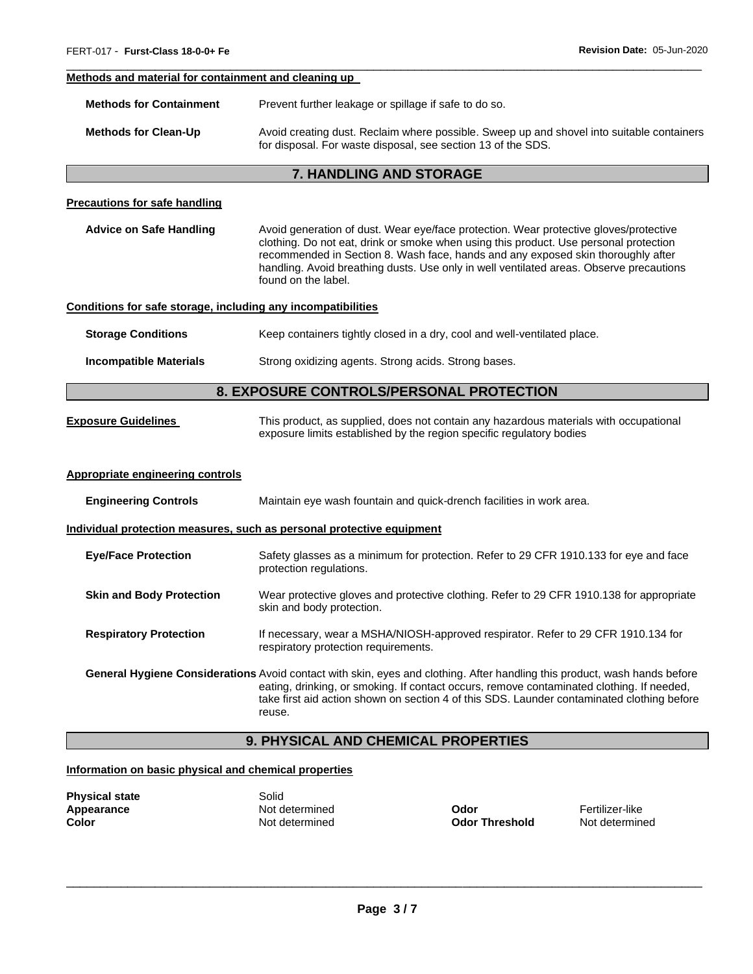#### **Methods and material for containment and cleaning up**

| <b>Methods for Containment</b> | Prevent further leakage or spillage if safe to do so.                                                                                                     |
|--------------------------------|-----------------------------------------------------------------------------------------------------------------------------------------------------------|
| <b>Methods for Clean-Up</b>    | Avoid creating dust. Reclaim where possible. Sweep up and shovel into suitable containers<br>for disposal. For waste disposal, see section 13 of the SDS. |

\_\_\_\_\_\_\_\_\_\_\_\_\_\_\_\_\_\_\_\_\_\_\_\_\_\_\_\_\_\_\_\_\_\_\_\_\_\_\_\_\_\_\_\_\_\_\_\_\_\_\_\_\_\_\_\_\_\_\_\_\_\_\_\_\_\_\_\_\_\_\_\_\_\_\_\_\_\_\_\_\_\_\_\_\_\_\_\_\_\_\_\_\_

## **7. HANDLING AND STORAGE**

#### **Precautions for safe handling**

**Advice on Safe Handling** Avoid generation of dust. Wear eye/face protection. Wear protective gloves/protective clothing. Do not eat, drink or smoke when using this product. Use personal protection recommended in Section 8. Wash face, hands and any exposed skin thoroughly after handling. Avoid breathing dusts. Use only in well ventilated areas. Observe precautions found on the label.

#### **Conditions for safe storage, including any incompatibilities**

**Storage Conditions Keep containers tightly closed in a dry, cool and well-ventilated place.** 

**Incompatible Materials Strong oxidizing agents. Strong acids. Strong bases.** 

## **8. EXPOSURE CONTROLS/PERSONAL PROTECTION**

**Exposure Guidelines** This product, as supplied, does not contain any hazardous materials with occupational exposure limits established by the region specific regulatory bodies

#### **Appropriate engineering controls**

| <b>Engineering Controls</b>     | Maintain eye wash fountain and quick-drench facilities in work area.                                                                                                                                                                                                                                                 |  |
|---------------------------------|----------------------------------------------------------------------------------------------------------------------------------------------------------------------------------------------------------------------------------------------------------------------------------------------------------------------|--|
|                                 | Individual protection measures, such as personal protective equipment                                                                                                                                                                                                                                                |  |
| <b>Eye/Face Protection</b>      | Safety glasses as a minimum for protection. Refer to 29 CFR 1910.133 for eye and face<br>protection regulations.                                                                                                                                                                                                     |  |
| <b>Skin and Body Protection</b> | Wear protective gloves and protective clothing. Refer to 29 CFR 1910.138 for appropriate<br>skin and body protection.                                                                                                                                                                                                |  |
| <b>Respiratory Protection</b>   | If necessary, wear a MSHA/NIOSH-approved respirator. Refer to 29 CFR 1910.134 for<br>respiratory protection requirements.                                                                                                                                                                                            |  |
|                                 | General Hygiene Considerations Avoid contact with skin, eyes and clothing. After handling this product, wash hands before<br>eating, drinking, or smoking. If contact occurs, remove contaminated clothing. If needed,<br>take first aid action shown on section 4 of this SDS. Launder contaminated clothing before |  |

# **9. PHYSICAL AND CHEMICAL PROPERTIES**

## **Information on basic physical and chemical properties**

| <b>Physical state</b> | Solid  |
|-----------------------|--------|
| Appearance            | Not de |
| Color                 | Not de |

**Appearance** Not determined **Odor** Fertilizer-like

reuse.

**Color** Not determined **Odor Threshold** Not determined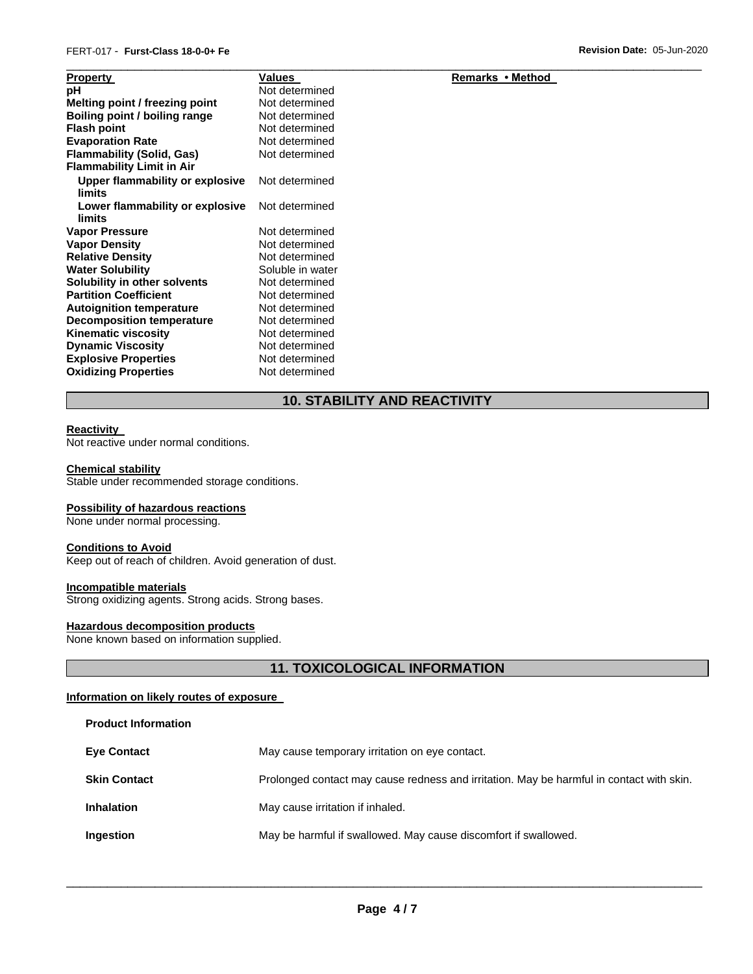| <b>Property</b>                           | Values           | Remarks • Method |  |
|-------------------------------------------|------------------|------------------|--|
| рH                                        | Not determined   |                  |  |
| Melting point / freezing point            | Not determined   |                  |  |
| Boiling point / boiling range             | Not determined   |                  |  |
| <b>Flash point</b>                        | Not determined   |                  |  |
| <b>Evaporation Rate</b>                   | Not determined   |                  |  |
| <b>Flammability (Solid, Gas)</b>          | Not determined   |                  |  |
| <b>Flammability Limit in Air</b>          |                  |                  |  |
| Upper flammability or explosive           | Not determined   |                  |  |
| limits                                    |                  |                  |  |
| Lower flammability or explosive<br>limits | Not determined   |                  |  |
| <b>Vapor Pressure</b>                     | Not determined   |                  |  |
| <b>Vapor Density</b>                      | Not determined   |                  |  |
| <b>Relative Density</b>                   | Not determined   |                  |  |
| <b>Water Solubility</b>                   | Soluble in water |                  |  |
| Solubility in other solvents              | Not determined   |                  |  |
| <b>Partition Coefficient</b>              | Not determined   |                  |  |
| <b>Autoignition temperature</b>           | Not determined   |                  |  |
| <b>Decomposition temperature</b>          | Not determined   |                  |  |
| <b>Kinematic viscosity</b>                | Not determined   |                  |  |
| <b>Dynamic Viscosity</b>                  | Not determined   |                  |  |
| <b>Explosive Properties</b>               | Not determined   |                  |  |
| <b>Oxidizing Properties</b>               | Not determined   |                  |  |

# **10. STABILITY AND REACTIVITY**

#### **Reactivity**

Not reactive under normal conditions.

#### **Chemical stability**

Stable under recommended storage conditions.

## **Possibility of hazardous reactions**

None under normal processing.

#### **Conditions to Avoid**

Keep out of reach of children. Avoid generation of dust.

## **Incompatible materials**

Strong oxidizing agents. Strong acids. Strong bases.

## **Hazardous decomposition products**

None known based on information supplied.

# **11. TOXICOLOGICAL INFORMATION**

## **Information on likely routes of exposure**

**Product Information** 

| <b>Eye Contact</b>  | May cause temporary irritation on eye contact.                                           |  |  |
|---------------------|------------------------------------------------------------------------------------------|--|--|
| <b>Skin Contact</b> | Prolonged contact may cause redness and irritation. May be harmful in contact with skin. |  |  |
| <b>Inhalation</b>   | May cause irritation if inhaled.                                                         |  |  |
| <b>Ingestion</b>    | May be harmful if swallowed. May cause discomfort if swallowed.                          |  |  |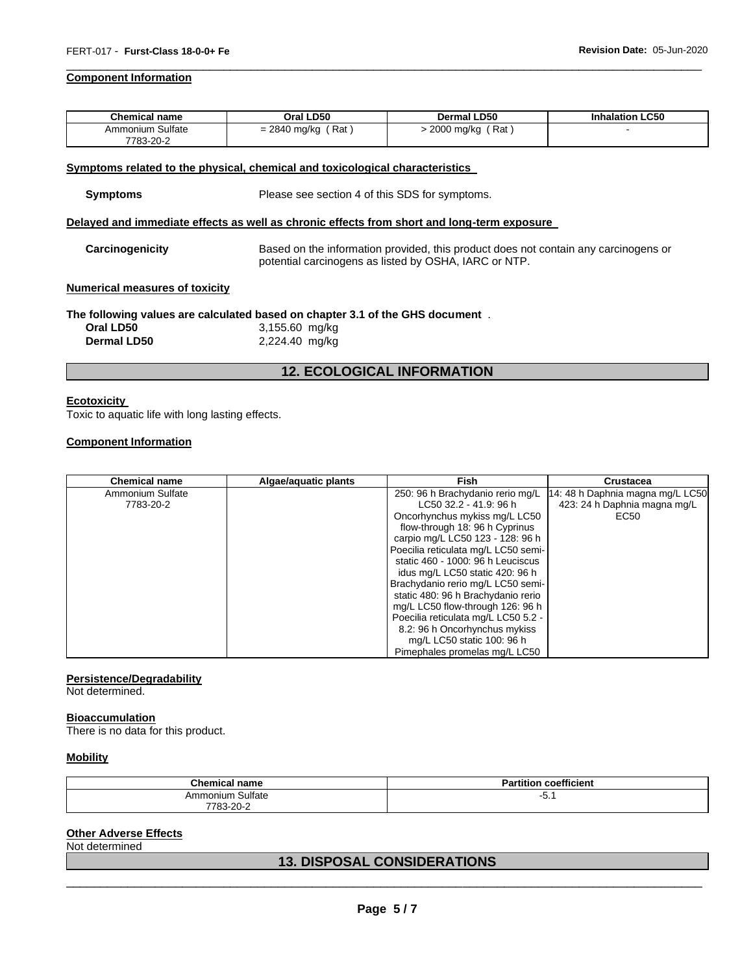#### **Component Information**

| <b>Chemical name</b> | Oral LD50                 | <b>Dermal LD50</b>     | <b>Inhalation LC50</b> |
|----------------------|---------------------------|------------------------|------------------------|
| Ammonium Sulfate     | ، Rat '<br>$= 2840$ mg/kg | ์ Rat<br>$-2000$ mg/kg |                        |
| 7783-20-2            |                           |                        |                        |

\_\_\_\_\_\_\_\_\_\_\_\_\_\_\_\_\_\_\_\_\_\_\_\_\_\_\_\_\_\_\_\_\_\_\_\_\_\_\_\_\_\_\_\_\_\_\_\_\_\_\_\_\_\_\_\_\_\_\_\_\_\_\_\_\_\_\_\_\_\_\_\_\_\_\_\_\_\_\_\_\_\_\_\_\_\_\_\_\_\_\_\_\_

#### **Symptoms related to the physical, chemical and toxicological characteristics**

| <b>Symptoms</b> | Please see section 4 of this SDS for symptoms. |
|-----------------|------------------------------------------------|
|-----------------|------------------------------------------------|

## **Delayed and immediate effects as well as chronic effects from short and long-term exposure**

**Carcinogenicity** Based on the information provided, this product does not contain any carcinogens or potential carcinogens as listed by OSHA, IARC or NTP.

#### **Numerical measures of toxicity**

#### **The following values are calculated based on chapter 3.1 of the GHS document** .

| Oral LD50          | 3,155.60 mg/kg |
|--------------------|----------------|
| <b>Dermal LD50</b> | 2,224.40 mg/kg |

## **12. ECOLOGICAL INFORMATION**

#### **Ecotoxicity**

Toxic to aquatic life with long lasting effects.

#### **Component Information**

| <b>Chemical name</b> | Algae/aguatic plants | <b>Fish</b>                         | <b>Crustacea</b>                 |
|----------------------|----------------------|-------------------------------------|----------------------------------|
| Ammonium Sulfate     |                      | 250: 96 h Brachydanio rerio mg/L    | 14: 48 h Daphnia magna mg/L LC50 |
| 7783-20-2            |                      | LC50 32.2 - 41.9: 96 h              | 423: 24 h Daphnia magna mg/L     |
|                      |                      | Oncorhynchus mykiss mg/L LC50       | EC50                             |
|                      |                      | flow-through 18: 96 h Cyprinus      |                                  |
|                      |                      | carpio mg/L LC50 123 - 128: 96 h    |                                  |
|                      |                      | Poecilia reticulata mg/L LC50 semi- |                                  |
|                      |                      | static 460 - 1000: 96 h Leuciscus   |                                  |
|                      |                      | idus mg/L LC50 static 420: 96 h     |                                  |
|                      |                      | Brachydanio rerio mg/L LC50 semi-   |                                  |
|                      |                      | static 480: 96 h Brachydanio rerio  |                                  |
|                      |                      | mg/L LC50 flow-through 126: 96 h    |                                  |
|                      |                      | Poecilia reticulata mg/L LC50 5.2 - |                                  |
|                      |                      | 8.2: 96 h Oncorhynchus mykiss       |                                  |
|                      |                      | mg/L LC50 static 100: 96 h          |                                  |
|                      |                      | Pimephales promelas mg/L LC50       |                                  |

#### **Persistence/Degradability**

Not determined.

#### **Bioaccumulation**

There is no data for this product.

## **Mobility**

| <b>Chemical name</b>   | coefficient<br>$-1$<br>− −<br>tition<br>aı |
|------------------------|--------------------------------------------|
| Ammonium Sulfate       | $\overline{\phantom{a}}$<br>ັບ.            |
| $/83 - 20 - ?$<br>7702 |                                            |

## **Other Adverse Effects**

Not determined

# \_\_\_\_\_\_\_\_\_\_\_\_\_\_\_\_\_\_\_\_\_\_\_\_\_\_\_\_\_\_\_\_\_\_\_\_\_\_\_\_\_\_\_\_\_\_\_\_\_\_\_\_\_\_\_\_\_\_\_\_\_\_\_\_\_\_\_\_\_\_\_\_\_\_\_\_\_\_\_\_\_\_\_\_\_\_\_\_\_\_\_\_\_ **13. DISPOSAL CONSIDERATIONS**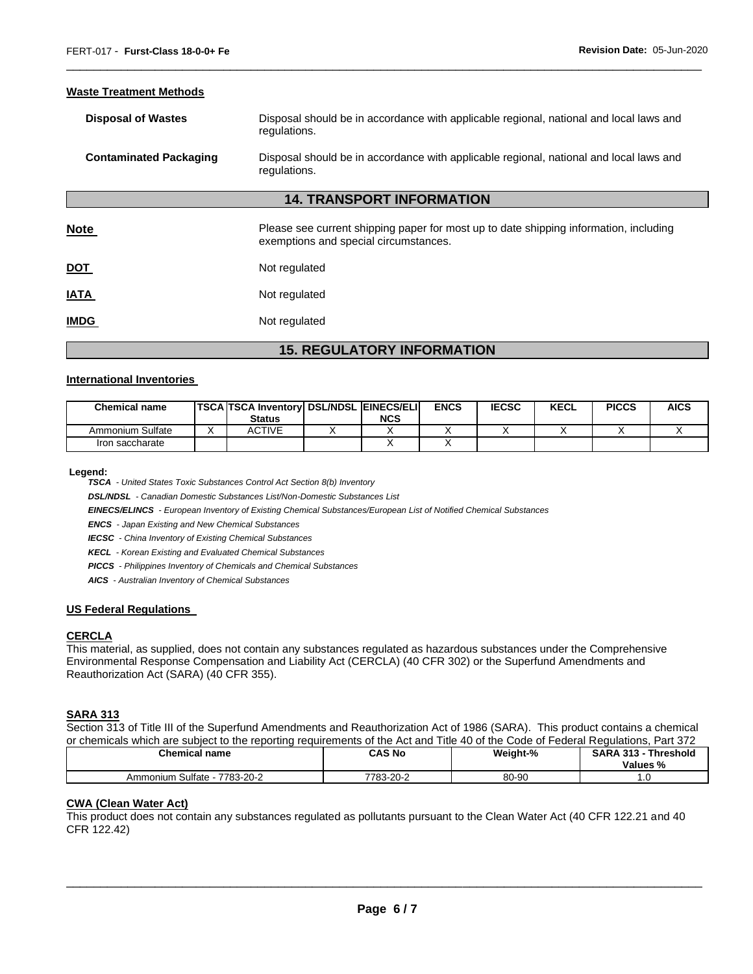## **Waste Treatment Methods**

| <b>Disposal of Wastes</b>     | Disposal should be in accordance with applicable regional, national and local laws and<br>regulations. |
|-------------------------------|--------------------------------------------------------------------------------------------------------|
| <b>Contaminated Packaging</b> | Disposal should be in accordance with applicable regional, national and local laws and<br>regulations. |

\_\_\_\_\_\_\_\_\_\_\_\_\_\_\_\_\_\_\_\_\_\_\_\_\_\_\_\_\_\_\_\_\_\_\_\_\_\_\_\_\_\_\_\_\_\_\_\_\_\_\_\_\_\_\_\_\_\_\_\_\_\_\_\_\_\_\_\_\_\_\_\_\_\_\_\_\_\_\_\_\_\_\_\_\_\_\_\_\_\_\_\_\_

## **14. TRANSPORT INFORMATION**

| <b>Note</b> | Please see current shipping paper for most up to date shipping information, including<br>exemptions and special circumstances. |
|-------------|--------------------------------------------------------------------------------------------------------------------------------|
| <u>DOT</u>  | Not regulated                                                                                                                  |
| <b>IATA</b> | Not regulated                                                                                                                  |
| <b>IMDG</b> | Not regulated                                                                                                                  |

# **15. REGULATORY INFORMATION**

#### **International Inventories**

| <b>Chemical name</b> | <b>TSCA TSCA Inventory DSL/NDSL EINECS/ELI</b><br><b>Status</b> | <b>NCS</b> | <b>ENCS</b> | <b>IECSC</b> | <b>KECL</b> | <b>PICCS</b> | <b>AICS</b> |
|----------------------|-----------------------------------------------------------------|------------|-------------|--------------|-------------|--------------|-------------|
| Ammonium Sulfate     | ACTIVE                                                          |            |             |              |             |              |             |
| Iron saccharate      |                                                                 |            |             |              |             |              |             |

**Legend:** 

*TSCA - United States Toxic Substances Control Act Section 8(b) Inventory* 

*DSL/NDSL - Canadian Domestic Substances List/Non-Domestic Substances List* 

*EINECS/ELINCS - European Inventory of Existing Chemical Substances/European List of Notified Chemical Substances* 

*ENCS - Japan Existing and New Chemical Substances* 

*IECSC - China Inventory of Existing Chemical Substances* 

*KECL - Korean Existing and Evaluated Chemical Substances* 

*PICCS - Philippines Inventory of Chemicals and Chemical Substances* 

*AICS - Australian Inventory of Chemical Substances* 

#### **US Federal Regulations**

## **CERCLA**

This material, as supplied, does not contain any substances regulated as hazardous substances under the Comprehensive Environmental Response Compensation and Liability Act (CERCLA) (40 CFR 302) or the Superfund Amendments and Reauthorization Act (SARA) (40 CFR 355).

## **SARA 313**

Section 313 of Title III of the Superfund Amendments and Reauthorization Act of 1986 (SARA). This product contains a chemical or chemicals which are subject to the reporting requirements of the Act and Title 40 of the Code of Federal Regulations, Part 372

| <b>Chemical name</b>             | CAS No<br>. | Weight-% | <b>⊺Threshold</b><br><b>SARA 313 -</b><br>Values % |
|----------------------------------|-------------|----------|----------------------------------------------------|
| 7783-20-2<br>Sulfate<br>Ammonium | 7783-20-2   | 80-90    | .u                                                 |

#### **CWA (Clean Water Act)**

This product does not contain any substances regulated as pollutants pursuant to the Clean Water Act (40 CFR 122.21 and 40 CFR 122.42)